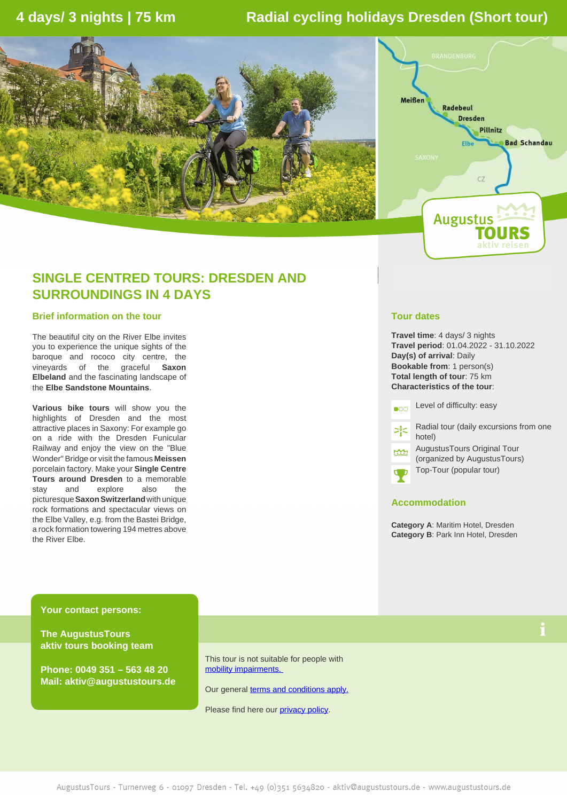# **4 days/ 3 nights | 75 km Radial cycling holidays Dresden (Short tour)**





# **SINGLE CENTRED TOURS: DRESDEN AND SURROUNDINGS IN 4 DAYS**

### **Brief information on the tour**

The beautiful city on the River Elbe invites you to experience the unique sights of the baroque and rococo city centre, the vineyards of the graceful **Saxon Elbeland** and the fascinating landscape of the **Elbe Sandstone Mountains**.

**Various bike tours** will show you the highlights of Dresden and the most attractive places in Saxony: For example go on a ride with the Dresden Funicular Railway and enjoy the view on the "Blue Wonder" Bridge or visit the famous **Meissen** porcelain factory. Make your **Single Centre Tours around Dresden** to a memorable stay and explore also the picturesque **Saxon Switzerland** with unique rock formations and spectacular views on the Elbe Valley, e.g. from the Bastei Bridge, a rock formation towering 194 metres above the River Elbe.

## **Tour dates**

**Travel time**: 4 days/ 3 nights **Travel period**: 01.04.2022 - 31.10.2022 **Day(s) of arrival**: Daily **Bookable from**: 1 person(s) **Total length of tour**: 75 km **Characteristics of the tour**:

Level of difficulty: easy  $\bullet$ 00

Radial tour (daily excursions from one  $\geq^{\circ}_{i}$ hotel)

AugustusTours Original Tour (organized by AugustusTours)

Top-Tour (popular tour)



# **Accommodation**

**Category A**: Maritim Hotel, Dresden **Category B**: Park Inn Hotel, Dresden

**Your contact persons:**

**The AugustusTours aktiv tours booking team**

**Phone: 0049 351 – 563 48 20 Mail: aktiv@augustustours.de** This tour is not suitable for people with [mobility impairments.](https://www.augustustours.de/en/faq-activity-holidays.html#what-does-the-information-on-mobility-restrictions-for-our-active-holidays-mean) 

Our general **[terms and conditions apply.](https://www.augustustours.de/en/general-terms-and-conditions.html)** 

Please find here our [privacy policy.](https://www.augustustours.de/en/privacy-policy.html)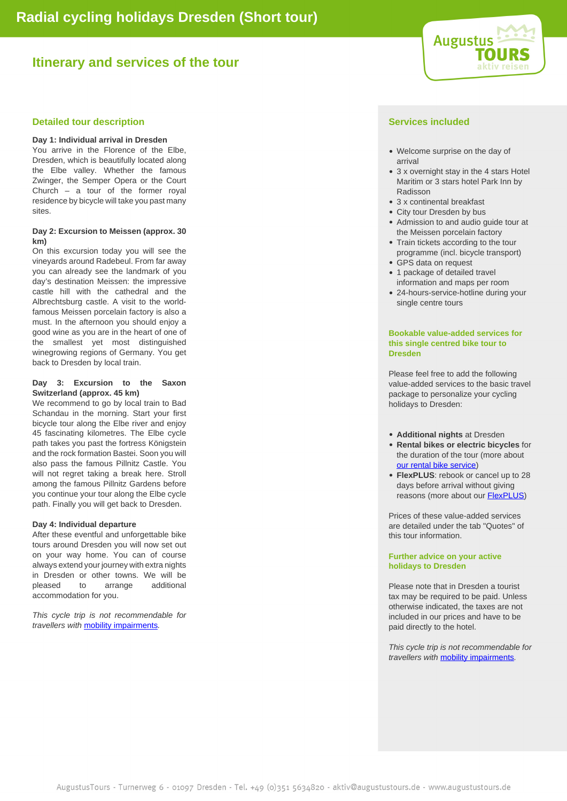# **Itinerary and services of the tour**



# **Detailed tour description Services included Services** included

#### **Day 1: Individual arrival in Dresden**

You arrive in the Florence of the Elbe, Dresden, which is beautifully located along the Elbe valley. Whether the famous Zwinger, the Semper Opera or the Court Church – a tour of the former royal residence by bicycle will take you past many sites.

#### **Day 2: Excursion to Meissen (approx. 30 km)**

On this excursion today you will see the vineyards around Radebeul. From far away you can already see the landmark of you day's destination Meissen: the impressive castle hill with the cathedral and the Albrechtsburg castle. A visit to the worldfamous Meissen porcelain factory is also a must. In the afternoon you should enjoy a good wine as you are in the heart of one of the smallest yet most distinguished winegrowing regions of Germany. You get back to Dresden by local train.

#### **Day 3: Excursion to the Saxon Switzerland (approx. 45 km)**

We recommend to go by local train to Bad Schandau in the morning. Start your first bicycle tour along the Elbe river and enjoy 45 fascinating kilometres. The Elbe cycle path takes you past the fortress Königstein and the rock formation Bastei. Soon you will also pass the famous Pillnitz Castle. You will not regret taking a break here. Stroll among the famous Pillnitz Gardens before you continue your tour along the Elbe cycle path. Finally you will get back to Dresden.

#### **Day 4: Individual departure**

After these eventful and unforgettable bike tours around Dresden you will now set out on your way home. You can of course always extend your journey with extra nights in Dresden or other towns. We will be pleased to arrange additional accommodation for you.

This cycle trip is not recommendable for travellers with [mobility impairments](https://www.augustustours.de/en/faq-activity-holidays.html#what-does-the-information-on-mobility-restrictions-for-our-active-holidays-mean).

- Welcome surprise on the day of arrival
- 3 x overnight stay in the 4 stars Hotel Maritim or 3 stars hotel Park Inn by Radisson
- 3 x continental breakfast
- City tour Dresden by bus
- Admission to and audio quide tour at the Meissen porcelain factory
- Train tickets according to the tour programme (incl. bicycle transport)
- GPS data on request • 1 package of detailed travel information and maps per room
- 24-hours-service-hotline during your single centre tours

### **Bookable value-added services for this single centred bike tour to Dresden**

Please feel free to add the following value-added services to the basic travel package to personalize your cycling holidays to Dresden:

- **Additional nights** at Dresden
- **Rental bikes or electric bicycles** for the duration of the tour (more about [our rental bike service\)](https://www.augustustours.de/en/cycle-holidays/information/rental-bikes.html)
- **FlexPLUS**: rebook or cancel up to 28 days before arrival without giving reasons (more about our **FlexPLUS**)

Prices of these value-added services are detailed under the tab "Quotes" of this tour information.

### **Further advice on your active holidays to Dresden**

Please note that in Dresden a tourist tax may be required to be paid. Unless otherwise indicated, the taxes are not included in our prices and have to be paid directly to the hotel.

This cycle trip is not recommendable for travellers with [mobility impairments](https://www.augustustours.de/en/faq-activity-holidays.html#what-does-the-information-on-mobility-restrictions-for-our-active-holidays-mean).